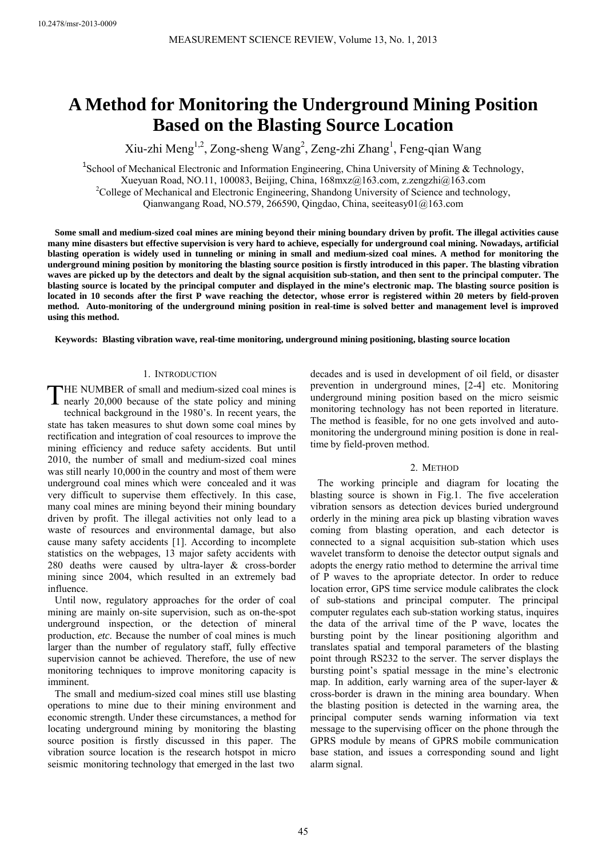# **A Method for Monitoring the Underground Mining Position Based on the Blasting Source Location**

Xiu-zhi Meng<sup>1,2</sup>, Zong-sheng Wang<sup>2</sup>, Zeng-zhi Zhang<sup>1</sup>, Feng-qian Wang

<sup>1</sup>School of Mechanical Electronic and Information Engineering, China University of Mining & Technology, Xueyuan Road, NO.11, 100083, Beijing, China, 168mxz@163.com, z.zengzhi@163.com 2 <sup>2</sup>College of Mechanical and Electronic Engineering, Shandong University of Science and technology, Qianwangang Road, NO.579, 266590, Qingdao, China, seeiteasy01@163.com

**Some small and medium-sized coal mines are mining beyond their mining boundary driven by profit. The illegal activities cause many mine disasters but effective supervision is very hard to achieve, especially for underground coal mining. Nowadays, artificial blasting operation is widely used in tunneling or mining in small and medium-sized coal mines. A method for monitoring the underground mining position by monitoring the blasting source position is firstly introduced in this paper. The blasting vibration waves are picked up by the detectors and dealt by the signal acquisition sub-station, and then sent to the principal computer. The blasting source is located by the principal computer and displayed in the mine's electronic map. The blasting source position is located in 10 seconds after the first P wave reaching the detector, whose error is registered within 20 meters by field-proven method. Auto-monitoring of the underground mining position in real-time is solved better and management level is improved using this method.** 

**Keywords: Blasting vibration wave, real-time monitoring, underground mining positioning, blasting source location**

## 1. INTRODUCTION

THE NUMBER of small and medium-sized coal mines is<br>nearly 20,000 because of the state policy and mining nearly 20,000 because of the state policy and mining technical background in the 1980's. In recent years, the state has taken measures to shut down some coal mines by rectification and integration of coal resources to improve the mining efficiency and reduce safety accidents. But until 2010, the number of small and medium-sized coal mines was still nearly 10,000 in the country and most of them were underground coal mines which were concealed and it was very difficult to supervise them effectively. In this case, many coal mines are mining beyond their mining boundary driven by profit. The illegal activities not only lead to a waste of resources and environmental damage, but also cause many safety accidents [1]. According to incomplete statistics on the webpages, 13 major safety accidents with 280 deaths were caused by ultra-layer & cross-border mining since 2004, which resulted in an extremely bad influence.

Until now, regulatory approaches for the order of coal mining are mainly on-site supervision, such as on-the-spot underground inspection, or the detection of mineral production, *etc*. Because the number of coal mines is much larger than the number of regulatory staff, fully effective supervision cannot be achieved. Therefore, the use of new monitoring techniques to improve monitoring capacity is imminent.

The small and medium-sized coal mines still use blasting operations to mine due to their mining environment and economic strength. Under these circumstances, a method for locating underground mining by monitoring the blasting source position is firstly discussed in this paper. The vibration source location is the research hotspot in micro seismic monitoring technology that emerged in the last two

decades and is used in development of oil field, or disaster prevention in underground mines, [2-4] etc. Monitoring underground mining position based on the micro seismic monitoring technology has not been reported in literature. The method is feasible, for no one gets involved and automonitoring the underground mining position is done in realtime by field-proven method.

# 2. METHOD

The working principle and diagram for locating the blasting source is shown in Fig.1. The five acceleration vibration sensors as detection devices buried underground orderly in the mining area pick up blasting vibration waves coming from blasting operation, and each detector is connected to a signal acquisition sub-station which uses wavelet transform to denoise the detector output signals and adopts the energy ratio method to determine the arrival time of P waves to the apropriate detector. In order to reduce location error, GPS time service module calibrates the clock of sub-stations and principal computer. The principal computer regulates each sub-station working status, inquires the data of the arrival time of the P wave, locates the bursting point by the linear positioning algorithm and translates spatial and temporal parameters of the blasting point through RS232 to the server. The server displays the bursting point's spatial message in the mine's electronic map. In addition, early warning area of the super-layer & cross-border is drawn in the mining area boundary. When the blasting position is detected in the warning area, the principal computer sends warning information via text message to the supervising officer on the phone through the GPRS module by means of GPRS mobile communication base station, and issues a corresponding sound and light alarm signal.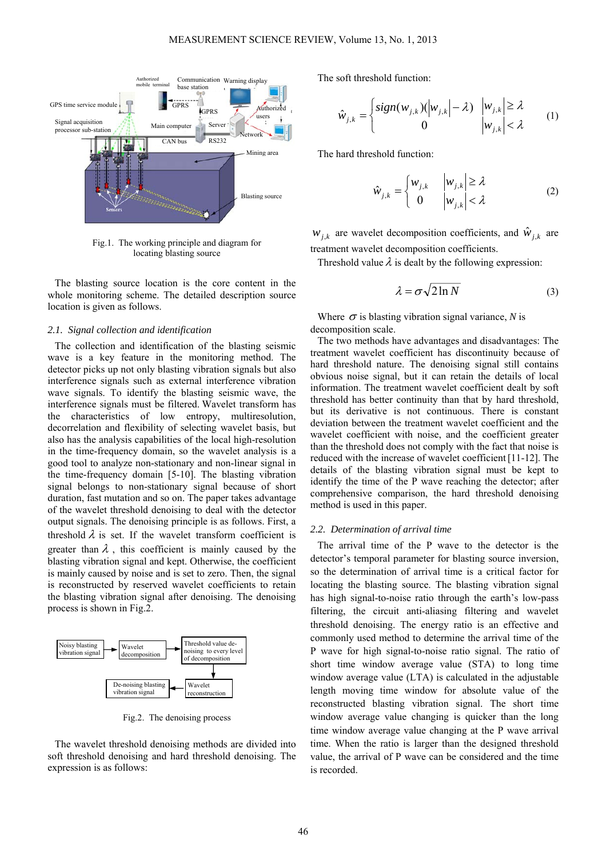

Fig.1. The working principle and diagram for locating blasting source

The blasting source location is the core content in the whole monitoring scheme. The detailed description source location is given as follows.

## *2.1. Signal collection and identification*

The collection and identification of the blasting seismic wave is a key feature in the monitoring method. The detector picks up not only blasting vibration signals but also interference signals such as external interference vibration wave signals. To identify the blasting seismic wave, the interference signals must be filtered. Wavelet transform has the characteristics of low entropy, multiresolution, decorrelation and flexibility of selecting wavelet basis, but also has the analysis capabilities of the local high-resolution in the time-frequency domain, so the wavelet analysis is a good tool to analyze non-stationary and non-linear signal in the time-frequency domain [5-10]. The blasting vibration signal belongs to non-stationary signal because of short duration, fast mutation and so on. The paper takes advantage of the wavelet threshold denoising to deal with the detector output signals. The denoising principle is as follows. First, a threshold  $\lambda$  is set. If the wavelet transform coefficient is greater than  $\lambda$ , this coefficient is mainly caused by the blasting vibration signal and kept. Otherwise, the coefficient is mainly caused by noise and is set to zero. Then, the signal is reconstructed by reserved wavelet coefficients to retain the blasting vibration signal after denoising. The denoising process is shown in Fig.2.



Fig.2. The denoising process

The wavelet threshold denoising methods are divided into soft threshold denoising and hard threshold denoising. The expression is as follows:

The soft threshold function:

$$
\hat{w}_{j,k} = \begin{cases}\n\text{sign}(w_{j,k}) \Big| w_{j,k} \Big| - \lambda & |w_{j,k}| \ge \lambda \\
0 & |w_{j,k}| < \lambda\n\end{cases} \tag{1}
$$

The hard threshold function:

$$
\hat{w}_{j,k} = \begin{cases} w_{j,k} & |w_{j,k}| \ge \lambda \\ 0 & |w_{j,k}| < \lambda \end{cases} \tag{2}
$$

 $W_{i,k}$  are wavelet decomposition coefficients, and  $\hat{W}_{i,k}$  are treatment wavelet decomposition coefficients.

Threshold value  $\lambda$  is dealt by the following expression:

$$
\lambda = \sigma \sqrt{2 \ln N} \tag{3}
$$

Where  $\sigma$  is blasting vibration signal variance, *N* is decomposition scale.

The two methods have advantages and disadvantages: The treatment wavelet coefficient has discontinuity because of hard threshold nature. The denoising signal still contains obvious noise signal, but it can retain the details of local information. The treatment wavelet coefficient dealt by soft threshold has better continuity than that by hard threshold, but its derivative is not continuous. There is constant deviation between the treatment wavelet coefficient and the wavelet coefficient with noise, and the coefficient greater than the threshold does not comply with the fact that noise is reduced with the increase of wavelet coefficient[11-12]. The details of the blasting vibration signal must be kept to identify the time of the P wave reaching the detector; after comprehensive comparison, the hard threshold denoising method is used in this paper.

### *2.2. Determination of arrival time*

The arrival time of the P wave to the detector is the detector's temporal parameter for blasting source inversion, so the determination of arrival time is a critical factor for locating the blasting source. The blasting vibration signal has high signal-to-noise ratio through the earth's low-pass filtering, the circuit anti-aliasing filtering and wavelet threshold denoising. The energy ratio is an effective and commonly used method to determine the arrival time of the P wave for high signal-to-noise ratio signal. The ratio of short time window average value (STA) to long time window average value (LTA) is calculated in the adjustable length moving time window for absolute value of the reconstructed blasting vibration signal. The short time window average value changing is quicker than the long time window average value changing at the P wave arrival time. When the ratio is larger than the designed threshold value, the arrival of P wave can be considered and the time is recorded.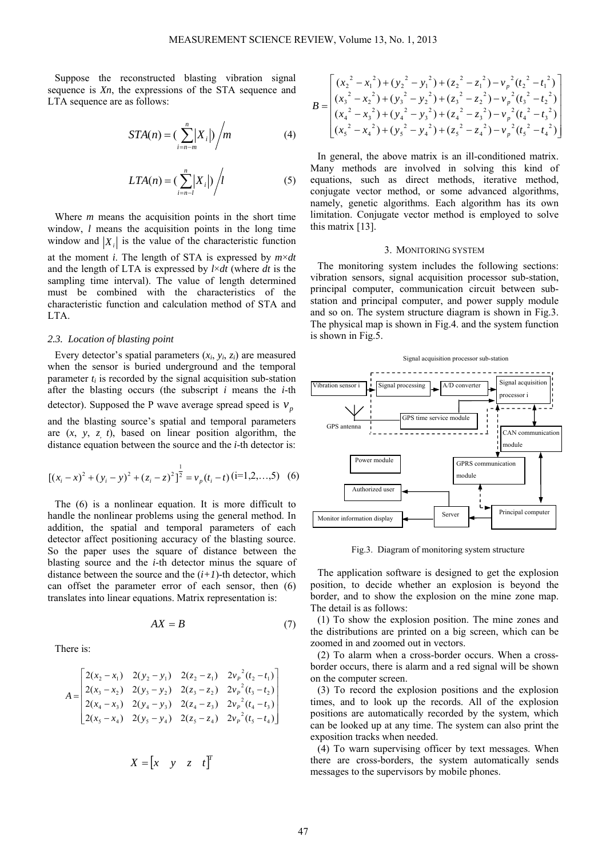Suppose the reconstructed blasting vibration signal sequence is *Xn*, the expressions of the STA sequence and LTA sequence are as follows:

$$
STA(n) = \left(\sum_{i=n-m}^{n} \left| X_i \right| \right) / m \tag{4}
$$

$$
LTA(n) = \left(\sum_{i=n-l}^{n} |X_i|\right) / l \tag{5}
$$

Where *m* means the acquisition points in the short time window, *l* means the acquisition points in the long time window and  $|X_i|$  is the value of the characteristic function at the moment *i*. The length of STA is expressed by *m*×*dt* and the length of LTA is expressed by *l*×*dt* (where *dt* is the sampling time interval). The value of length determined must be combined with the characteristics of the characteristic function and calculation method of STA and LTA.

#### *2.3. Location of blasting point*

Every detector's spatial parameters  $(x_i, y_i, z_i)$  are measured when the sensor is buried underground and the temporal parameter  $t_i$  is recorded by the signal acquisition sub-station after the blasting occurs (the subscript *i* means the *i*-th detector). Supposed the P wave average spread speed is  $v_p$ and the blasting source's spatial and temporal parameters are (*x*, *y*, *z, t*), based on linear position algorithm, the distance equation between the source and the *i*-th detector is:

$$
[(x_i - x)^2 + (y_i - y)^2 + (z_i - z)^2]^{\frac{1}{2}} = v_p(t_i - t)(i = 1, 2, ..., 5)
$$
 (6)

The (6) is a nonlinear equation. It is more difficult to handle the nonlinear problems using the general method. In addition, the spatial and temporal parameters of each detector affect positioning accuracy of the blasting source. So the paper uses the square of distance between the blasting source and the *i*-th detector minus the square of distance between the source and the  $(i+1)$ -th detector, which can offset the parameter error of each sensor, then (6) translates into linear equations. Matrix representation is:

$$
AX = B \tag{7}
$$

There is:

$$
A = \begin{bmatrix} 2(x_2 - x_1) & 2(y_2 - y_1) & 2(z_2 - z_1) & 2v_p^2(t_2 - t_1) \\ 2(x_3 - x_2) & 2(y_3 - y_2) & 2(z_3 - z_2) & 2v_p^2(t_3 - t_2) \\ 2(x_4 - x_3) & 2(y_4 - y_3) & 2(z_4 - z_3) & 2v_p^2(t_4 - t_3) \\ 2(x_5 - x_4) & 2(y_5 - y_4) & 2(z_5 - z_4) & 2v_p^2(t_5 - t_4) \end{bmatrix}
$$

$$
X = \begin{bmatrix} x & y & z & t \end{bmatrix}^T
$$

$$
B = \begin{bmatrix} (x_2^2 - x_1^2) + (y_2^2 - y_1^2) + (z_2^2 - z_1^2) - v_p^2 (t_2^2 - t_1^2) \ (x_3^2 - x_2^2) + (y_3^2 - y_2^2) + (z_3^2 - z_2^2) - v_p^2 (t_3^2 - t_2^2) \ (x_4^2 - x_3^2) + (y_4^2 - y_3^2) + (z_4^2 - z_3^2) - v_p^2 (t_4^2 - t_3^2) \ (x_5^2 - x_4^2) + (y_5^2 - y_4^2) + (z_5^2 - z_4^2) - v_p^2 (t_5^2 - t_4^2) \end{bmatrix}
$$

In general, the above matrix is an ill-conditioned matrix. Many methods are involved in solving this kind of equations, such as direct methods, iterative method, conjugate vector method, or some advanced algorithms, namely, genetic algorithms. Each algorithm has its own limitation. Conjugate vector method is employed to solve this matrix [13].

## 3. MONITORING SYSTEM

The monitoring system includes the following sections: vibration sensors, signal acquisition processor sub-station, principal computer, communication circuit between substation and principal computer, and power supply module and so on. The system structure diagram is shown in Fig.3. The physical map is shown in Fig.4. and the system function is shown in Fig.5.



Fig.3. Diagram of monitoring system structure

The application software is designed to get the explosion position, to decide whether an explosion is beyond the border, and to show the explosion on the mine zone map. The detail is as follows:

(1) To show the explosion position. The mine zones and the distributions are printed on a big screen, which can be zoomed in and zoomed out in vectors.

(2) To alarm when a cross-border occurs. When a crossborder occurs, there is alarm and a red signal will be shown on the computer screen.

(3) To record the explosion positions and the explosion times, and to look up the records. All of the explosion positions are automatically recorded by the system, which can be looked up at any time. The system can also print the exposition tracks when needed.

(4) To warn supervising officer by text messages. When there are cross-borders, the system automatically sends messages to the supervisors by mobile phones.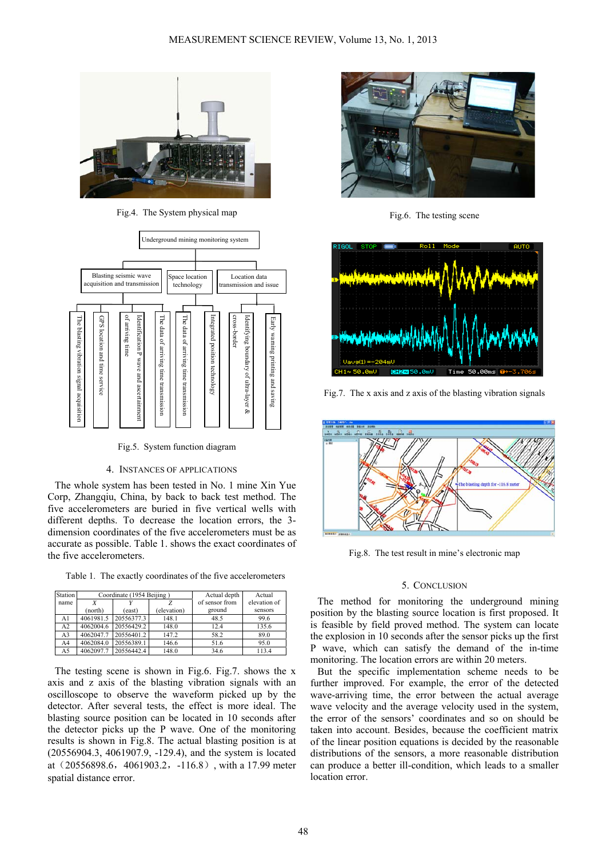

Fig.4. The System physical map



Fig.5. System function diagram

# 4. INSTANCES OF APPLICATIONS

The whole system has been tested in No. 1 mine Xin Yue Corp, Zhangqiu, China, by back to back test method. The five accelerometers are buried in five vertical wells with different depths. To decrease the location errors, the 3 dimension coordinates of the five accelerometers must be as accurate as possible. Table 1. shows the exact coordinates of the five accelerometers.

Table 1. The exactly coordinates of the five accelerometers

| Station | Coordinate (1954 Beijing) |            |             | Actual depth   | Actual       |
|---------|---------------------------|------------|-------------|----------------|--------------|
| name    |                           |            |             | of sensor from | elevation of |
|         | (north)                   | (east)     | (elevation) | ground         | sensors      |
| A1      | 4061981.5                 | 20556377.3 | 148.1       | 48.5           | 99.6         |
| A2      | 4062004.6                 | 20556429.2 | 148.0       | 12.4           | 135.6        |
| A3      | 4062047.7                 | 20556401.2 | 147.2       | 58.2           | 89.0         |
| A4      | 4062084.0                 | 20556389.1 | 146.6       | 51.6           | 95.0         |
| A5      | 4062097.7                 | 20556442.4 | 148.0       | 34.6           | 113.4        |

The testing scene is shown in Fig.6. Fig.7. shows the x axis and z axis of the blasting vibration signals with an oscilloscope to observe the waveform picked up by the detector. After several tests, the effect is more ideal. The blasting source position can be located in 10 seconds after the detector picks up the P wave. One of the monitoring results is shown in Fig.8. The actual blasting position is at (20556904.3, 4061907.9, -129.4), and the system is located at (20556898.6, 4061903.2, -116.8), with a 17.99 meter spatial distance error.



Fig.6. The testing scene



Fig.7. The x axis and z axis of the blasting vibration signals



Fig.8. The test result in mine's electronic map

# 5. CONCLUSION

The method for monitoring the underground mining position by the blasting source location is first proposed. It is feasible by field proved method. The system can locate the explosion in 10 seconds after the sensor picks up the first P wave, which can satisfy the demand of the in-time monitoring. The location errors are within 20 meters.

But the specific implementation scheme needs to be further improved. For example, the error of the detected wave-arriving time, the error between the actual average wave velocity and the average velocity used in the system, the error of the sensors' coordinates and so on should be taken into account. Besides, because the coefficient matrix of the linear position equations is decided by the reasonable distributions of the sensors, a more reasonable distribution can produce a better ill-condition, which leads to a smaller location error.